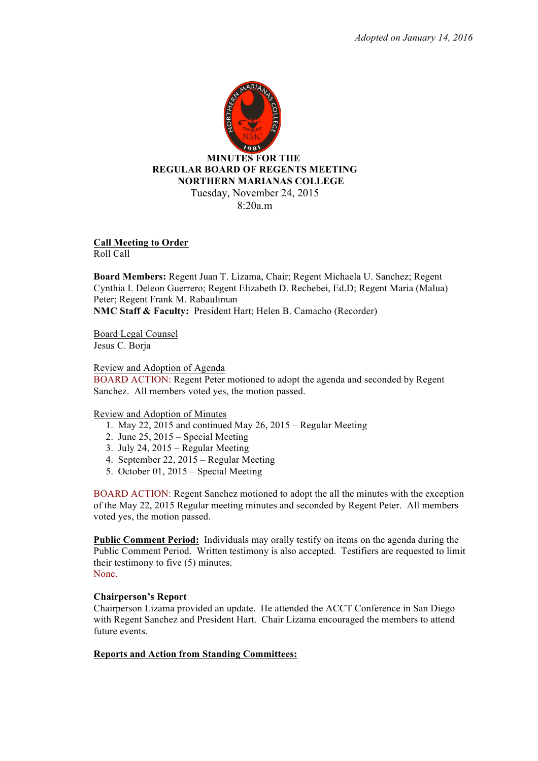

**Call Meeting to Order**  Roll Call

**Board Members:** Regent Juan T. Lizama, Chair; Regent Michaela U. Sanchez; Regent Cynthia I. Deleon Guerrero; Regent Elizabeth D. Rechebei, Ed.D; Regent Maria (Malua) Peter; Regent Frank M. Rabauliman **NMC Staff & Faculty:** President Hart; Helen B. Camacho (Recorder)

Board Legal Counsel Jesus C. Borja

Review and Adoption of Agenda

BOARD ACTION: Regent Peter motioned to adopt the agenda and seconded by Regent Sanchez. All members voted yes, the motion passed.

Review and Adoption of Minutes

- 1. May 22, 2015 and continued May 26, 2015 Regular Meeting
- 2. June 25, 2015 Special Meeting
- 3. July 24, 2015 Regular Meeting
- 4. September 22, 2015 Regular Meeting
- 5. October 01, 2015 Special Meeting

BOARD ACTION: Regent Sanchez motioned to adopt the all the minutes with the exception of the May 22, 2015 Regular meeting minutes and seconded by Regent Peter. All members voted yes, the motion passed.

**Public Comment Period:** Individuals may orally testify on items on the agenda during the Public Comment Period. Written testimony is also accepted. Testifiers are requested to limit their testimony to five (5) minutes. None.

**Chairperson's Report**  Chairperson Lizama provided an update. He attended the ACCT Conference in San Diego with Regent Sanchez and President Hart. Chair Lizama encouraged the members to attend future events.

# **Reports and Action from Standing Committees:**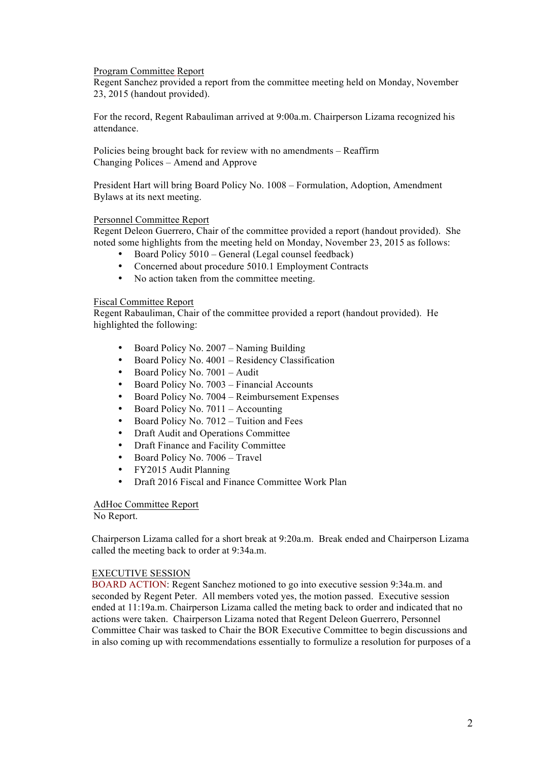Program Committee Report

Regent Sanchez provided a report from the committee meeting held on Monday, November 23, 2015 (handout provided).

For the record, Regent Rabauliman arrived at 9:00a.m. Chairperson Lizama recognized his attendance.

Policies being brought back for review with no amendments – Reaffirm Changing Polices – Amend and Approve

President Hart will bring Board Policy No. 1008 – Formulation, Adoption, Amendment Bylaws at its next meeting.

## Personnel Committee Report

Regent Deleon Guerrero, Chair of the committee provided a report (handout provided). She noted some highlights from the meeting held on Monday, November 23, 2015 as follows:

- Board Policy 5010 General (Legal counsel feedback)
- Concerned about procedure 5010.1 Employment Contracts
- No action taken from the committee meeting.

# Fiscal Committee Report

Regent Rabauliman, Chair of the committee provided a report (handout provided). He highlighted the following:

- Board Policy No. 2007 Naming Building
- Board Policy No. 4001 Residency Classification
- Board Policy No. 7001 Audit
- Board Policy No. 7003 Financial Accounts
- Board Policy No. 7004 Reimbursement Expenses
- Board Policy No. 7011 Accounting
- Board Policy No. 7012 Tuition and Fees
- Draft Audit and Operations Committee
- Draft Finance and Facility Committee
- Board Policy No. 7006 Travel
- FY2015 Audit Planning
- Draft 2016 Fiscal and Finance Committee Work Plan

### AdHoc Committee Report

No Report.

Chairperson Lizama called for a short break at 9:20a.m. Break ended and Chairperson Lizama called the meeting back to order at 9:34a.m.

### EXECUTIVE SESSION

BOARD ACTION: Regent Sanchez motioned to go into executive session 9:34a.m. and seconded by Regent Peter. All members voted yes, the motion passed. Executive session ended at 11:19a.m. Chairperson Lizama called the meting back to order and indicated that no actions were taken. Chairperson Lizama noted that Regent Deleon Guerrero, Personnel Committee Chair was tasked to Chair the BOR Executive Committee to begin discussions and in also coming up with recommendations essentially to formulize a resolution for purposes of a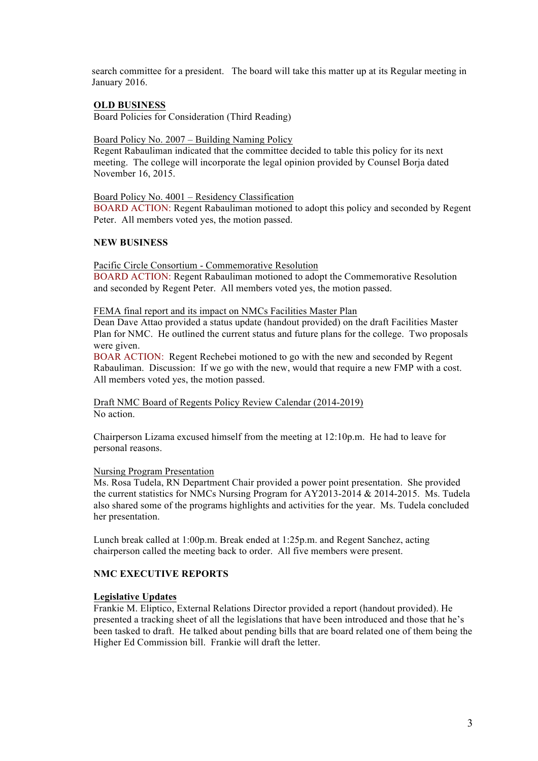search committee for a president. The board will take this matter up at its Regular meeting in January 2016.

# **OLD BUSINESS**

Board Policies for Consideration (Third Reading)

## Board Policy No. 2007 – Building Naming Policy

Regent Rabauliman indicated that the committee decided to table this policy for its next meeting. The college will incorporate the legal opinion provided by Counsel Borja dated November 16, 2015.

## Board Policy No. 4001 – Residency Classification

BOARD ACTION: Regent Rabauliman motioned to adopt this policy and seconded by Regent Peter. All members voted yes, the motion passed.

# **NEW BUSINESS**

## Pacific Circle Consortium - Commemorative Resolution

BOARD ACTION: Regent Rabauliman motioned to adopt the Commemorative Resolution and seconded by Regent Peter. All members voted yes, the motion passed.

### FEMA final report and its impact on NMCs Facilities Master Plan

Dean Dave Attao provided a status update (handout provided) on the draft Facilities Master Plan for NMC. He outlined the current status and future plans for the college. Two proposals were given.

BOAR ACTION: Regent Rechebei motioned to go with the new and seconded by Regent Rabauliman. Discussion: If we go with the new, would that require a new FMP with a cost. All members voted yes, the motion passed.

Draft NMC Board of Regents Policy Review Calendar (2014-2019) No action.

Chairperson Lizama excused himself from the meeting at 12:10p.m. He had to leave for personal reasons.

# Nursing Program Presentation

Ms. Rosa Tudela, RN Department Chair provided a power point presentation. She provided the current statistics for NMCs Nursing Program for AY2013-2014 & 2014-2015. Ms. Tudela also shared some of the programs highlights and activities for the year. Ms. Tudela concluded her presentation.

Lunch break called at 1:00p.m. Break ended at 1:25p.m. and Regent Sanchez, acting chairperson called the meeting back to order. All five members were present.

# **NMC EXECUTIVE REPORTS**

# **Legislative Updates**

Frankie M. Eliptico, External Relations Director provided a report (handout provided). He presented a tracking sheet of all the legislations that have been introduced and those that he's been tasked to draft. He talked about pending bills that are board related one of them being the Higher Ed Commission bill. Frankie will draft the letter.